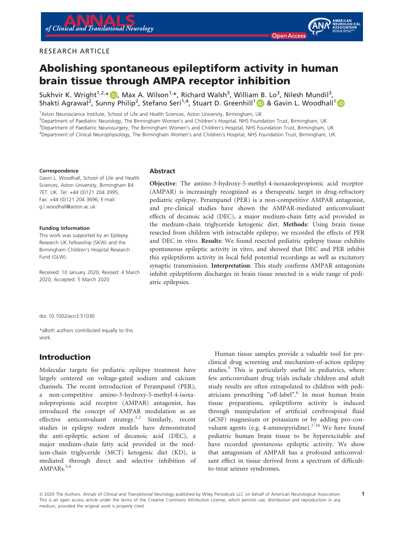## RESEARCH ARTICLE



# Abolishing spontaneous epileptiform activity in human brain tissue through AMPA receptor inhibition

Sukhvir K. Wright $^{1,2,\star}$  D, Max A. Wilson $^{1,\star}$ , Richard Walsh $^3$ , William B. Lo $^3$ , Nilesh Mundil $^3$ , Shakti Agrawal<sup>2</sup>, Sunny Philip<sup>2</sup>, Stefano Seri<sup>1,4</sup>, Stuart D. Greenhill<sup>1</sup> D & Gavin L. Woodhall<sup>1</sup>

<sup>1</sup>Aston Neuroscience Institute, School of Life and Health Sciences, Aston University, Birmingham, UK

2 Department of Paediatric Neurology, The Birmingham Women's and Children's Hospital, NHS Foundation Trust, Birmingham, UK <sup>3</sup>Department of Paediatric Neurosurgery, The Birmingham Women's and Children's Hospital, NHS Foundation Trust, Birmingham, UK 4 Department of Clinical Neurophysiology, The Birmingham Women's and Children's Hospital, NHS Foundation Trust, Birmingham, UK

#### Correspondence

Gavin L. Woodhall, School of Life and Health Sciences, Aston University, Birmingham B4 7ET. UK. Tel: +44 (0)121 204 3995; Fax: +44 (0)121 204 3696; E-mail: [g.l.woodhall@aston.ac.uk](mailto:)

#### Funding Information

This work was supported by an Epilepsy Research UK Fellowship (SKW) and the Birmingham Children's Hospital Research Fund (GLW).

Received: 10 January 2020; Revised: 4 March 2020; Accepted: 5 March 2020

#### Abstract

Objective: The amino-3-hydroxy-5-methyl-4-isoxazolepropionic acid receptor (AMPAR) is increasingly recognized as a therapeutic target in drug-refractory pediatric epilepsy. Perampanel (PER) is a non-competitive AMPAR antagonist, and pre-clinical studies have shown the AMPAR-mediated anticonvulsant effects of decanoic acid (DEC), a major medium-chain fatty acid provided in the medium-chain triglyceride ketogenic diet. Methods: Using brain tissue resected from children with intractable epilepsy, we recorded the effects of PER and DEC in vitro. Results: We found resected pediatric epilepsy tissue exhibits spontaneous epileptic activity in vitro, and showed that DEC and PER inhibit this epileptiform activity in local field potential recordings as well as excitatory synaptic transmission. Interpretation: This study confirms AMPAR antagonists inhibit epileptiform discharges in brain tissue resected in a wide range of pediatric epilepsies.

doi: 10.1002/acn3.51030

\*aBoth authors contributed equally to this work.

## Introduction

Molecular targets for pediatric epilepsy treatment have largely centered on voltage-gated sodium and calcium channels. The recent introduction of Perampanel (PER), a non-competitive amino-3-hydroxy-5-methyl-4-isoxazolepropionic acid receptor (AMPAR) antagonist, has introduced the concept of AMPAR modulation as an effective anticonvulsant strategy.1,2 Similarly, recent studies in epilepsy rodent models have demonstrated the anti-epileptic action of decanoic acid (DEC), a major medium-chain fatty acid provided in the medium-chain triglyceride (MCT) ketogenic diet (KD), is mediated through direct and selective inhibition of  $AMPARS.<sup>3,4</sup>$ 

Human tissue samples provide a valuable tool for preclinical drug screening and mechanism-of-action epilepsy studies.<sup>5</sup> This is particularly useful in pediatrics, where few anticonvulsant drug trials include children and adult study results are often extrapolated to children with pediatricians prescribing "off-label".<sup>6</sup> In most human brain tissue preparations, epileptiform activity is induced through manipulation of artificial cerebrospinal fluid (aCSF) magnesium or potassium or by adding pro-convulsant agents (e.g. 4-aminopyridine).<sup>7-10</sup> We have found pediatric human brain tissue to be hyperexcitable and have recorded spontaneous epileptic activity. We show that antagonism of AMPAR has a profound anticonvulsant effect in tissue derived from a spectrum of difficultto-treat seizure syndromes.

ª 2020 The Authors. Annals of Clinical and Translational Neurology published by Wiley Periodicals LLC on behalf of American Neurological Association. This is an open access article under the terms of the [Creative Commons Attribution](http://creativecommons.org/licenses/by/4.0/) License, which permits use, distribution and reproduction in any medium, provided the original work is properly cited.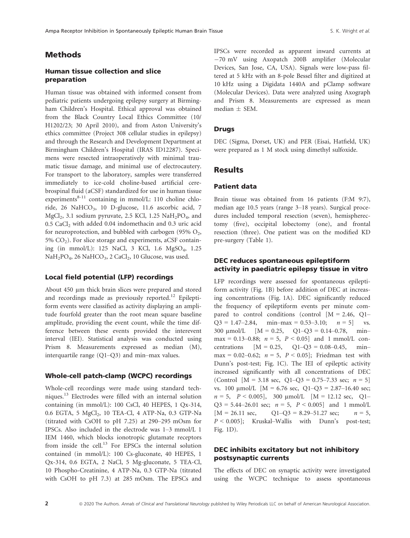## Methods

### Human tissue collection and slice preparation

Human tissue was obtained with informed consent from pediatric patients undergoing epilepsy surgery at Birmingham Children's Hospital. Ethical approval was obtained from the Black Country Local Ethics Committee (10/ H1202/23; 30 April 2010), and from Aston University's ethics committee (Project 308 cellular studies in epilepsy) and through the Research and Development Department at Birmingham Children's Hospital (IRAS ID12287). Specimens were resected intraoperatively with minimal traumatic tissue damage, and minimal use of electrocautery. For transport to the laboratory, samples were transferred immediately to ice-cold choline-based artificial cerebrospinal fluid (aCSF) standardized for use in human tissue experiments<sup>8-11</sup> containing in mmol/L: 110 choline chloride, 26 NaHCO<sub>3</sub>, 10 D-glucose, 11.6 ascorbic acid, 7 MgCl<sub>2</sub>, 3.1 sodium pyruvate, 2.5 KCl, 1.25 NaH<sub>2</sub>PO<sub>4</sub>, and 0.5 CaCl<sub>2</sub> with added 0.04 indomethacin and 0.3 uric acid for neuroprotection, and bubbled with carbogen (95%  $O_2$ ,  $5\%$  CO<sub>2</sub>). For slice storage and experiments, aCSF containing (in mmol/L): 125 NaCl, 3 KCl, 1.6 MgSO4, 1.25  $NaH<sub>2</sub>PO<sub>4</sub>$ , 26 Na $HCO<sub>3</sub>$ , 2 CaCl<sub>2</sub>, 10 Glucose, was used.

## Local field potential (LFP) recordings

About 450 µm thick brain slices were prepared and stored and recordings made as previously reported.<sup>12</sup> Epileptiform events were classified as activity displaying an amplitude fourfold greater than the root mean square baseline amplitude, providing the event count, while the time difference between these events provided the interevent interval (IEI). Statistical analysis was conducted using Prism 8. Measurements expressed as median (M), interquartile range (Q1–Q3) and min–max values.

#### Whole-cell patch-clamp (WCPC) recordings

Whole-cell recordings were made using standard techniques.<sup>13</sup> Electrodes were filled with an internal solution containing (in mmol/L): 100 CsCl, 40 HEPES, 1 Qx-314, 0.6 EGTA, 5 MgCl<sub>2</sub>, 10 TEA-Cl, 4 ATP-Na, 0.3 GTP-Na (titrated with CsOH to pH 7.25) at 290–295 mOsm for IPSCs. Also included in the electrode was 1–3 mmol/L 1 IEM 1460, which blocks ionotropic glutamate receptors from inside the cell.<sup>13</sup> For EPSCs the internal solution contained (in mmol/L): 100 Cs-gluconate, 40 HEPES, 1 Qx-314, 0.6 EGTA, 2 NaCl, 5 Mg-gluconate, 5 TEA-Cl, 10 Phospho-Creatinine, 4 ATP-Na, 0.3 GTP-Na (titrated with CsOH to pH 7.3) at 285 mOsm. The EPSCs and IPSCs were recorded as apparent inward currents at 70 mV using Axopatch 200B amplifier (Molecular Devices, San Jose, CA, USA). Signals were low-pass filtered at 5 kHz with an 8-pole Bessel filter and digitized at 10 kHz using a Digidata 1440A and pClamp software (Molecular Devices). Data were analyzed using Axograph and Prism 8. Measurements are expressed as mean median  $\pm$  SEM.

#### **Drugs**

DEC (Sigma, Dorset, UK) and PER (Eisai, Hatfield, UK) were prepared as 1 M stock using dimethyl sulfoxide.

## **Results**

#### Patient data

Brain tissue was obtained from 16 patients (F:M 9:7), median age 10.5 years (range 3–18 years). Surgical procedures included temporal resection (seven), hemispherectomy (five), occipital lobectomy (one), and frontal resection (three). One patient was on the modified KD pre-surgery (Table 1).

#### DEC reduces spontaneous epileptiform activity in paediatric epilepsy tissue in vitro

LFP recordings were assessed for spontaneous epileptiform activity (Fig. 1B) before addition of DEC at increasing concentrations (Fig. 1A). DEC significantly reduced the frequency of epileptiform events per minute compared to control conditions (control  $[M = 2.46, Q]$ - $Q3 = 1.47 - 2.84$ , min–max = 0.53–3.10;  $n = 5$  vs. 300  $\mu$ mol/L [M = 0.25, Q1–Q3 = 0.14–0.78, min– max = 0.13–0.88;  $n = 5$ ,  $P < 0.05$ ] and 1 mmol/L concentrations  $[M = 0.25, Q1-Q3 = 0.08 - 0.45, min$ max = 0.02–0.62;  $n = 5$ ,  $P < 0.05$ ]; Friedman test with Dunn's post-test; Fig. 1C). The IEI of epileptic activity increased significantly with all concentrations of DEC (Control  $[M = 3.18 \text{ sec}, Q1-Q3 = 0.75-7.33 \text{ sec}; n = 5]$ vs. 100  $\mu$ mol/L [M = 6.76 sec, Q1–Q3 = 2.87–16.40 sec;  $n = 5$ ,  $P < 0.005$ ], 300  $\mu$ mol/L [M = 12.12 sec, Q1–  $Q3 = 5.44 - 26.01$  sec;  $n = 5$ ,  $P < 0.005$  and 1 mmol/L  $[M = 26.11 \text{ sec}, \qquad Q1 - Q3 = 8.29 - 51.27 \text{ sec}; \qquad n = 5,$  $P < 0.005$ ; Kruskal–Wallis with Dunn's post-test; Fig. 1D).

## DEC inhibits excitatory but not inhibitory postsynaptic currents

The effects of DEC on synaptic activity were investigated using the WCPC technique to assess spontaneous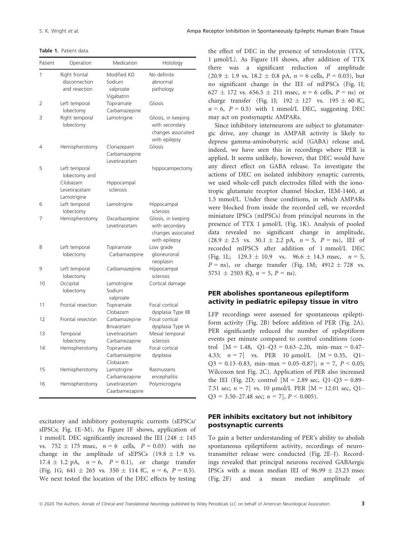Table 1. Patient data.

| Patient | Operation                                       | Medication                                       | Histology                                                                    |
|---------|-------------------------------------------------|--------------------------------------------------|------------------------------------------------------------------------------|
| 1       | Right frontal<br>disconnection<br>and resection | Modified KD<br>Sodium<br>valproate<br>Vigabatrin | No definite<br>abnormal<br>pathology                                         |
| 2       | Left temporal<br>lobectomy                      | Topiramate<br>Carbamazepine                      | Gliosis                                                                      |
| 3       | Right temporal<br>lobectomy                     | Lamotrigine                                      | Gliosis, in keeping<br>with secondary<br>changes associated<br>with epilepsy |
| 4       | Hemispherotomy                                  | Clonazepam<br>Carbamazepine<br>Levetiracetam     | Gliosis                                                                      |
| 5       | Left temporal<br>lobectomy and<br>Clobazam      | Hippocampal                                      | hippocampectomy                                                              |
|         | Levetiracetam<br>Lamotrigine                    | sclerosis                                        |                                                                              |
| 6       | Left temporal<br>lobectomy                      | Lamotrigine                                      | Hippocampal<br>sclerosis                                                     |
| 7       | Hemispherotomy                                  | Oxcarbazepine<br>Levetiracetam                   | Gliosis, in keeping<br>with secondary<br>changes associated<br>with epilepsy |
| 8       | Left temporal<br>lobectomy                      | Topiramate<br>Carbamazepine                      | Low grade<br>glioneuronal<br>neoplasm                                        |
| 9       | Left temporal<br>lobectomy                      | Carbamazepine                                    | Hippocampal<br>sclerosis                                                     |
| 10      | Occipital<br>lobectomy                          | Lamotrigine<br>Sodium<br>valproate               | Cortical damage                                                              |
| 11      | Frontal resection                               | Topiramate<br>Clobazam                           | Focal cortical<br>dysplasia Type IIB                                         |
| 12      | Frontal resection                               | Carbamazepine<br><b>Brivacetam</b>               | Focal cortical<br>dysplasia Type IA                                          |
| 13      | Temporal<br>lobectomy                           | Levetiracetam<br>Carbamezapine                   | Mesial temporal<br>sclerosis                                                 |
| 14      | Hemispherotomy                                  | Topiramate<br>Carbamazepine<br>Clobazam          | Focal cortical<br>dysplasia                                                  |
| 15      | Hemispherotomy                                  | Lamotrigine<br>Carbamezapine                     | Rasmussens<br>encephalitis                                                   |
| 16      | Hemispherotomy                                  | Levetiracetam<br>Caarbamezapine                  | Polymicrogyria                                                               |

excitatory and inhibitory postsynaptic currents (sEPSCs/ sIPSCs; Fig. 1E–M). As Figure 1F shows, application of 1 mmol/L DEC significantly increased the IEI (248  $\pm$  145 vs. 752  $\pm$  175 msec,  $n = 6$  cells,  $P = 0.03$ ) with no change in the amplitude of sEPSCs  $(19.8 \pm 1.9 \text{ vs.})$ 17.4  $\pm$  1.2 pA,  $n = 6$ ,  $P = 0.1$ ), or charge transfer (Fig. 1G; 641  $\pm$  265 vs. 350  $\pm$  114 fC,  $n = 6$ ,  $P = 0.5$ ). We next tested the location of the DEC effects by testing the effect of DEC in the presence of tetrodotoxin (TTX, 1 µmol/L). As Figure 1H shows, after addition of TTX there was a significant reduction of amplitude  $(20.9 \pm 1.9 \text{ vs. } 18.2 \pm 0.8 \text{ pA}, n = 6 \text{ cells}, P = 0.03)$ , but no significant change in the IEI of mEPSCs (Fig. 1I; 627  $\pm$  172 vs. 656.5  $\pm$  211 msec,  $n = 6$  cells,  $P =$ ns) or charge transfer (Fig. 1J;  $192 \pm 127$  vs.  $195 \pm 60$  fC,  $n = 6$ ,  $P = 0.5$ ) with 1 mmol/L DEC, suggesting DEC may act on postsynaptic AMPARs.

Since inhibitory interneurons are subject to glutamatergic drive, any change in AMPAR activity is likely to depress gamma-aminobutyric acid (GABA) release and, indeed, we have seen this in recordings where PER is applied. It seems unlikely, however, that DEC would have any direct effect on GABA release. To investigate the actions of DEC on isolated inhibitory synaptic currents, we used whole-cell patch electrodes filled with the ionotropic glutamate receptor channel blocker, IEM-1460, at 1.5 mmol/L. Under these conditions, in which AMPARs were blocked from inside the recorded cell, we recorded miniature IPSCs (mIPSCs) from principal neurons in the presence of TTX 1 µmol/L (Fig. 1K). Analysis of pooled data revealed no significant change in amplitude,  $(28.9 \pm 2.5 \text{ vs. } 30.1 \pm 2.2 \text{ pA}, n = 5, P = \text{ns})$ , IEI of recorded mIPSCS after addition of 1 mmol/L DEC (Fig. 11.; 129.3  $\pm$  10.9 vs. 96.6  $\pm$  14.3 msec,  $n = 5$ ,  $P =$ ns), or charge transfer (Fig. 1M; 4912  $\pm$  728 vs. 5751  $\pm$  2503 fQ,  $n = 5$ ,  $P =$  ns).

## PER abolishes spontaneous epileptiform activity in pediatric epilepsy tissue in vitro

LFP recordings were assessed for spontaneous epileptiform activity (Fig. 2B) before addition of PER (Fig. 2A). PER significantly reduced the number of epileptiform events per minute compared to control conditions (control  $[M = 1.48, Q1-Q3 = 0.63 - 2.20, min-max = 0.47 -$ 4.33;  $n = 7$ ] vs. PER 10  $\mu$ mol/L [M = 0.35, Q1–  $Q3 = 0.13 - 0.83$ , min-max = 0.05-0.87];  $n = 7$ ,  $P < 0.05$ ; Wilcoxon test Fig. 2C). Application of PER also increased the IEI (Fig. 2D; control  $[M = 2.89 \text{ sec}, Q1-Q3 = 0.89-$ 7.51 sec;  $n = 7$ ] vs. 10  $\mu$ mol/L PER [M = 12.01 sec, Q1–  $Q3 = 3.50 - 27.48$  sec;  $n = 7$ ,  $P < 0.005$ ).

#### PER inhibits excitatory but not inhibitory postsynaptic currents

To gain a better understanding of PER's ability to abolish spontaneous epileptiform activity, recordings of neurotransmitter release were conducted (Fig. 2E–J). Recordings revealed that principal neurons received GABAergic IPSCs with a mean median IEI of  $96.99 \pm 23.23$  msec<br>(Fig. 2F) and a mean median amplitude of median amplitude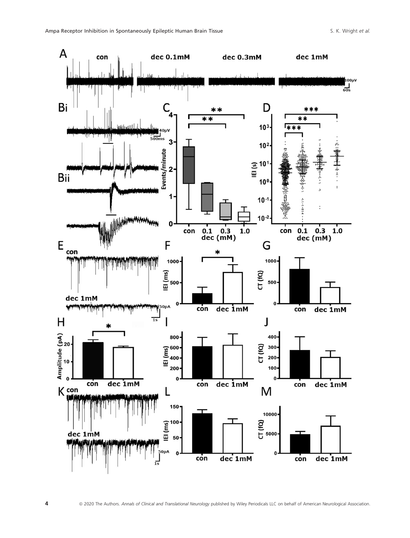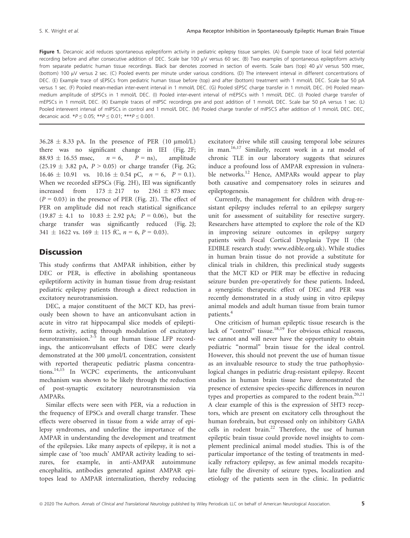Figure 1. Decanoic acid reduces spontaneous epileptiform activity in pediatric epilepsy tissue samples. (A) Example trace of local field potential recording before and after consecutive addition of DEC. Scale bar 100 µV versus 60 sec. (B) Two examples of spontaneous epileptiform activity from separate pediatric human tissue recordings. Black bar denotes zoomed in section of events. Scale bars (top) 40 µV versus 500 msec, (bottom) 100 µV versus 2 sec. (C) Pooled events per minute under various conditions. (D) The interevent interval in different concentrations of DEC. (E) Example trace of sEPSCs from pediatric human tissue before (top) and after (bottom) treatment with 1 mmol/L DEC. Scale bar 50 pA versus 1 sec. (F) Pooled mean-median inter-event interval in 1 mmol/L DEC. (G) Pooled sEPSC charge transfer in 1 mmol/L DEC. (H) Pooled meanmedium amplitude of sEPSCs in 1 mmol/L DEC. (I) Pooled inter-event interval of mEPSCs with 1 mmol/L DEC. (J) Pooled charge transfer of mEPSCs in 1 mmol/L DEC. (K) Example traces of mIPSC recordings pre and post addition of 1 mmol/L DEC. Scale bar 50 pA versus 1 sec. (L) Pooled interevent interval of mIPSCs in control and 1 mmol/L DEC. (M) Pooled charge transfer of mIPSCS after addition of 1 mmol/L DEC. DEC, decanoic acid.  $*P \le 0.05$ ;  $**P \le 0.01$ ;  $***P \le 0.001$ .

 $36.28 \pm 8.33$  pA. In the presence of PER (10 µmol/L) there was no significant change in IEI (Fig. 2F; 88.93  $\pm$  16.55 msec,  $n = 6$ ,  $P = \text{ns}$ , amplitude  $(25.19 \pm 3.82 \text{ pA}, P > 0.05)$  or charge transfer (Fig. 2G;  $16.46 \pm 10.91$  vs.  $10.16 \pm 0.54$  pC,  $n = 6$ ,  $P = 0.1$ ). When we recorded sEPSCs (Fig. 2H), IEI was significantly increased from  $173 \pm 217$  to  $2361 \pm 873$  msec  $(P = 0.03)$  in the presence of PER (Fig. 2I). The effect of PER on amplitude did not reach statistical significance  $(19.87 \pm 4.1 \text{ to } 10.83 \pm 2.92 \text{ pA}; P = 0.06)$ , but the charge transfer was significantly reduced (Fig. 2J;  $341 \pm 1622$  vs.  $169 \pm 115$  fC,  $n = 6$ ,  $P = 0.03$ ).

# **Discussion**

This study confirms that AMPAR inhibition, either by DEC or PER, is effective in abolishing spontaneous epileptiform activity in human tissue from drug-resistant pediatric epilepsy patients through a direct reduction in excitatory neurotransmission.

DEC, a major constituent of the MCT KD, has previously been shown to have an anticonvulsant action in acute in vitro rat hippocampal slice models of epileptiform activity, acting through modulation of excitatory neurotransmission.<sup>3-5</sup> In our human tissue LFP recordings, the anticonvulsant effects of DEC were clearly demonstrated at the 300 µmol/L concentration, consistent with reported therapeutic pediatric plasma concentrations.14,15 In WCPC experiments, the anticonvulsant mechanism was shown to be likely through the reduction of post-synaptic excitatory neurotransmission via AMPARs.

Similar effects were seen with PER, via a reduction in the frequency of EPSCs and overall charge transfer. These effects were observed in tissue from a wide array of epilepsy syndromes, and underline the importance of the AMPAR in understanding the development and treatment of the epilepsies. Like many aspects of epilepsy, it is not a simple case of 'too much' AMPAR activity leading to seizures, for example, in anti-AMPAR autoimmune encephalitis, antibodies generated against AMPAR epitopes lead to AMPAR internalization, thereby reducing excitatory drive while still causing temporal lobe seizures in man.<sup>16,17</sup> Similarly, recent work in a rat model of chronic TLE in our laboratory suggests that seizures induce a profound loss of AMPAR expression in vulnerable networks.<sup>12</sup> Hence, AMPARs would appear to play both causative and compensatory roles in seizures and epileptogenesis.

Currently, the management for children with drug-resistant epilepsy includes referral to an epilepsy surgery unit for assessment of suitability for resective surgery. Researchers have attempted to explore the role of the KD in improving seizure outcomes in epilepsy surgery patients with Focal Cortical Dysplasia Type II (the EDIBLE research study: [www.edible.org.uk](://www.edible.org.uk)). While studies in human brain tissue do not provide a substitute for clinical trials in children, this preclinical study suggests that the MCT KD or PER may be effective in reducing seizure burden pre-operatively for these patients. Indeed, a synergistic therapeutic effect of DEC and PER was recently demonstrated in a study using in vitro epilepsy animal models and adult human tissue from brain tumor patients.<sup>4</sup>

One criticism of human epileptic tissue research is the lack of "control" tissue.<sup>18,19</sup> For obvious ethical reasons, we cannot and will never have the opportunity to obtain pediatric "normal" brain tissue for the ideal control. However, this should not prevent the use of human tissue as an invaluable resource to study the true pathophysiological changes in pediatric drug-resistant epilepsy. Recent studies in human brain tissue have demonstrated the presence of extensive species-specific differences in neuron types and properties as compared to the rodent brain.<sup>20,21</sup> A clear example of this is the expression of 5HT3 receptors, which are present on excitatory cells throughout the human forebrain, but expressed only on inhibitory GABA cells in rodent brain.<sup>22</sup> Therefore, the use of human epileptic brain tissue could provide novel insights to complement preclinical animal model studies. This is of the particular importance of the testing of treatments in medically refractory epilepsy, as few animal models recapitulate fully the diversity of seizure types, localization and etiology of the patients seen in the clinic. In pediatric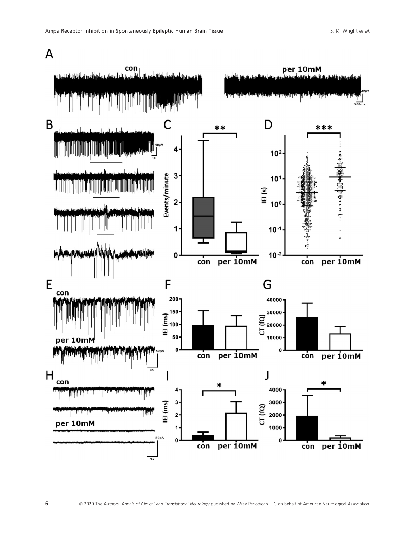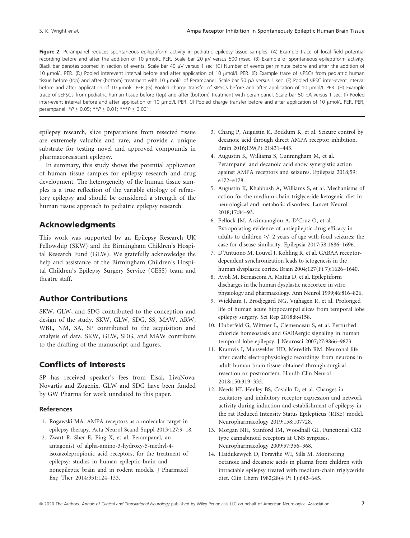Figure 2. Perampanel reduces spontaneous epileptiform activity in pediatric epilepsy tissue samples. (A) Example trace of local field potential recording before and after the addition of 10 µmol/L PER. Scale bar 20 µV versus 500 msec. (B) Example of spontaneous epileptiform activity. Black bar denotes zoomed in section of events. Scale bar 40 µV versus 1 sec. (C) Number of events per minute before and after the addition of 10 µmol/L PER. (D) Pooled interevent interval before and after application of 10 µmol/L PER. (E) Example trace of sIPSCs from pediatric human tissue before (top) and after (bottom) treatment with 10 µmol/L of Perampanel. Scale bar 50 pA versus 1 sec. (F) Pooled sIPSC inter-event interval before and after application of 10 µmol/L PER (G) Pooled charge transfer of sIPSCs before and after application of 10 µmol/L PER. (H) Example trace of sEPSCs from pediatric human tissue before (top) and after (bottom) treatment with perampanel. Scale bar 50 pA versus 1 sec. (I) Pooled inter-event interval before and after application of 10 µmol/L PER. (J) Pooled charge transfer before and after application of 10 µmol/L PER. PER, perampanel.  $*P \le 0.05$ ;  $**P \le 0.01$ ;  $***P \le 0.001$ .

epilepsy research, slice preparations from resected tissue are extremely valuable and rare, and provide a unique substrate for testing novel and approved compounds in pharmacoresistant epilepsy.

In summary, this study shows the potential application of human tissue samples for epilepsy research and drug development. The heterogeneity of the human tissue samples is a true reflection of the variable etiology of refractory epilepsy and should be considered a strength of the human tissue approach to pediatric epilepsy research.

# Acknowledgments

This work was supported by an Epilepsy Research UK Fellowship (SKW) and the Birmingham Children's Hospital Research Fund (GLW). We gratefully acknowledge the help and assistance of the Birmingham Children's Hospital Children's Epilepsy Surgery Service (CESS) team and theatre staff.

## Author Contributions

SKW, GLW, and SDG contributed to the conception and design of the study. SKW, GLW, SDG, SS, MAW, ARW, WBL, NM, SA, SP contributed to the acquisition and analysis of data. SKW, GLW, SDG, and MAW contribute to the drafting of the manuscript and figures.

# Conflicts of Interests

SP has received speaker's fees from Eisai, LivaNova, Novartis and Zogenix. GLW and SDG have been funded by GW Pharma for work unrelated to this paper.

#### References

- 1. Rogawski MA. AMPA receptors as a molecular target in epilepsy therapy. Acta Neurol Scand Suppl 2013;127:9–18.
- 2. Zwart R, Sher E, Ping X, et al. Perampanel, an antagonist of alpha-amino-3-hydroxy-5-methyl-4 isoxazolepropionic acid receptors, for the treatment of epilepsy: studies in human epileptic brain and nonepileptic brain and in rodent models. J Pharmacol Exp Ther 2014;351:124–133.
- 3. Chang P, Augustin K, Boddum K, et al. Seizure control by decanoic acid through direct AMPA receptor inhibition. Brain 2016;139(Pt 2):431–443.
- 4. Augustin K, Williams S, Cunningham M, et al. Perampanel and decanoic acid show synergistic action against AMPA receptors and seizures. Epilepsia 2018;59: e172–e178.
- 5. Augustin K, Khabbush A, Williams S, et al. Mechanisms of action for the medium-chain triglyceride ketogenic diet in neurological and metabolic disorders. Lancet Neurol 2018;17:84–93.
- 6. Pellock JM, Arzimanoglou A, D'Cruz O, et al. Extrapolating evidence of antiepileptic drug efficacy in adults to children >/=2 years of age with focal seizures: the case for disease similarity. Epilepsia 2017;58:1686–1696.
- 7. D'Antuono M, Louvel J, Kohling R, et al. GABAA receptordependent synchronization leads to ictogenesis in the human dysplastic cortex. Brain 2004;127(Pt 7):1626–1640.
- 8. Avoli M, Bernasconi A, Mattia D, et al. Epileptiform discharges in the human dysplastic neocortex: in vitro physiology and pharmacology. Ann Neurol 1999;46:816–826.
- 9. Wickham J, Brodjegard NG, Vighagen R, et al. Prolonged life of human acute hippocampal slices from temporal lobe epilepsy surgery. Sci Rep 2018;8:4158.
- 10. Huberfeld G, Wittner L, Clemenceau S, et al. Perturbed chloride homeostasis and GABAergic signaling in human temporal lobe epilepsy. J Neurosci 2007;27:9866–9873.
- 11. Kramvis I, Mansvelder HD, Meredith RM. Neuronal life after death: electrophysiologic recordings from neurons in adult human brain tissue obtained through surgical resection or postmortem. Handb Clin Neurol 2018;150:319–333.
- 12. Needs HI, Henley BS, Cavallo D, et al. Changes in excitatory and inhibitory receptor expression and network activity during induction and establishment of epilepsy in the rat Reduced Intensity Status Epilepticus (RISE) model. Neuropharmacology 2019;158:107728.
- 13. Morgan NH, Stanford IM, Woodhall GL. Functional CB2 type cannabinoid receptors at CNS synpases. Neuropharmacology 2009;57:356–368.
- 14. Haidukewych D, Forsythe WI, Sills M. Monitoring octanoic and decanoic acids in plasma from children with intractable epilepsy treated with medium-chain triglyceride diet. Clin Chem 1982;28(4 Pt 1):642–645.